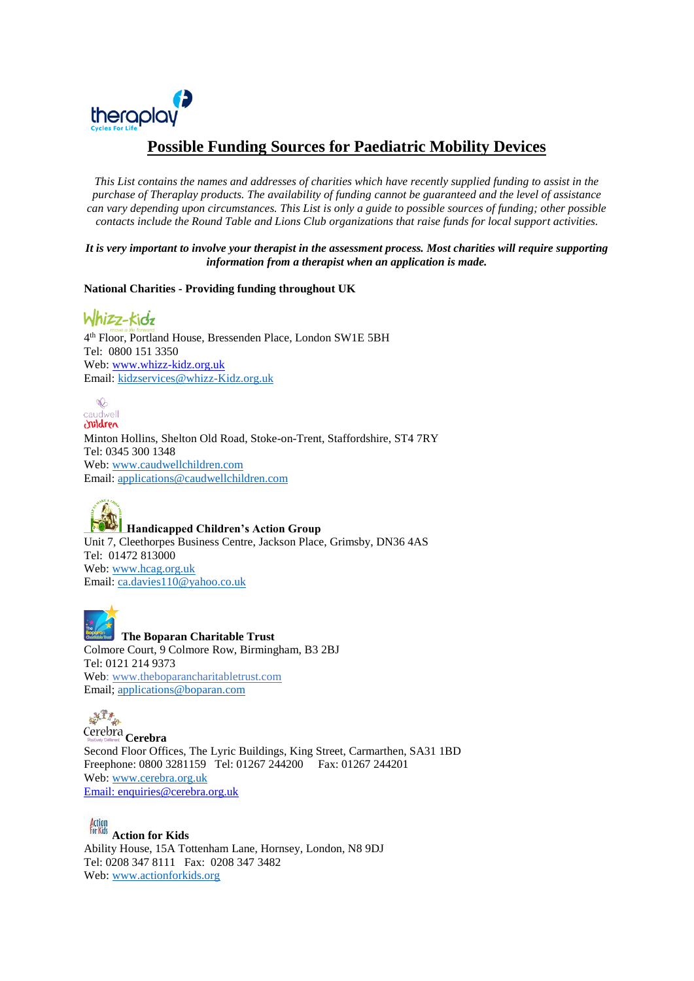

# **Possible Funding Sources for Paediatric Mobility Devices**

*This List contains the names and addresses of charities which have recently supplied funding to assist in the purchase of Theraplay products. The availability of funding cannot be guaranteed and the level of assistance can vary depending upon circumstances. This List is only a guide to possible sources of funding; other possible contacts include the Round Table and Lions Club organizations that raise funds for local support activities.*

*It is very important to involve your therapist in the assessment process. Most charities will require supporting information from a therapist when an application is made.*

**National Charities - Providing funding throughout UK** 

Whizz-kidz 4 th Floor, Portland House, Bressenden Place, London SW1E 5BH Tel: 0800 151 3350 Web: [www.whizz-kidz.org.uk](http://www.whizz-kidz.org.uk/) Email: kidzservices@whizz-Kidz.org.uk

 $\infty$ caudwell<br>Caudwell

Minton Hollins, Shelton Old Road, Stoke-on-Trent, Staffordshire, ST4 7RY Tel: 0345 300 1348 Web: [www.caudwellchildren.com](http://www.caudwellchildren.com/)  Email: [applications@caudwellchildren.com](mailto:applications@caudwellchildren.com)



**Handicapped Children's Action Group** Unit 7, Cleethorpes Business Centre, Jackson Place, Grimsby, DN36 4AS Tel: 01472 813000 Web: [www.hcag.org.uk](http://www.hcag.org.uk/) Email: [ca.davies110@yahoo.co.uk](mailto:ca.davies110@yahoo.co.uk)

**The Boparan Charitable Trust** Colmore Court, 9 Colmore Row, Birmingham, B3 2BJ Tel: 0121 214 9373 Web: [www.theboparancharitabletrust.com](http://www.theboparancharitabletrust.com/) Email; [applications@boparan.com](mailto:applications@boparan.com)



**Cerebra**  Second Floor Offices, The Lyric Buildings, King Street, Carmarthen, SA31 1BD Freephone: 0800 3281159 Tel: 01267 244200 Fax: 01267 244201 Web: [www.cerebra.org.uk](http://www.cerebra.org.uk/) Email: enquiries@cerebra.org.uk

**Action for Kids** Ability House, 15A Tottenham Lane, Hornsey, London, N8 9DJ Tel: 0208 347 8111 Fax: 0208 347 3482 Web: [www.actionforkids.org](http://www.actionforkids.org/)